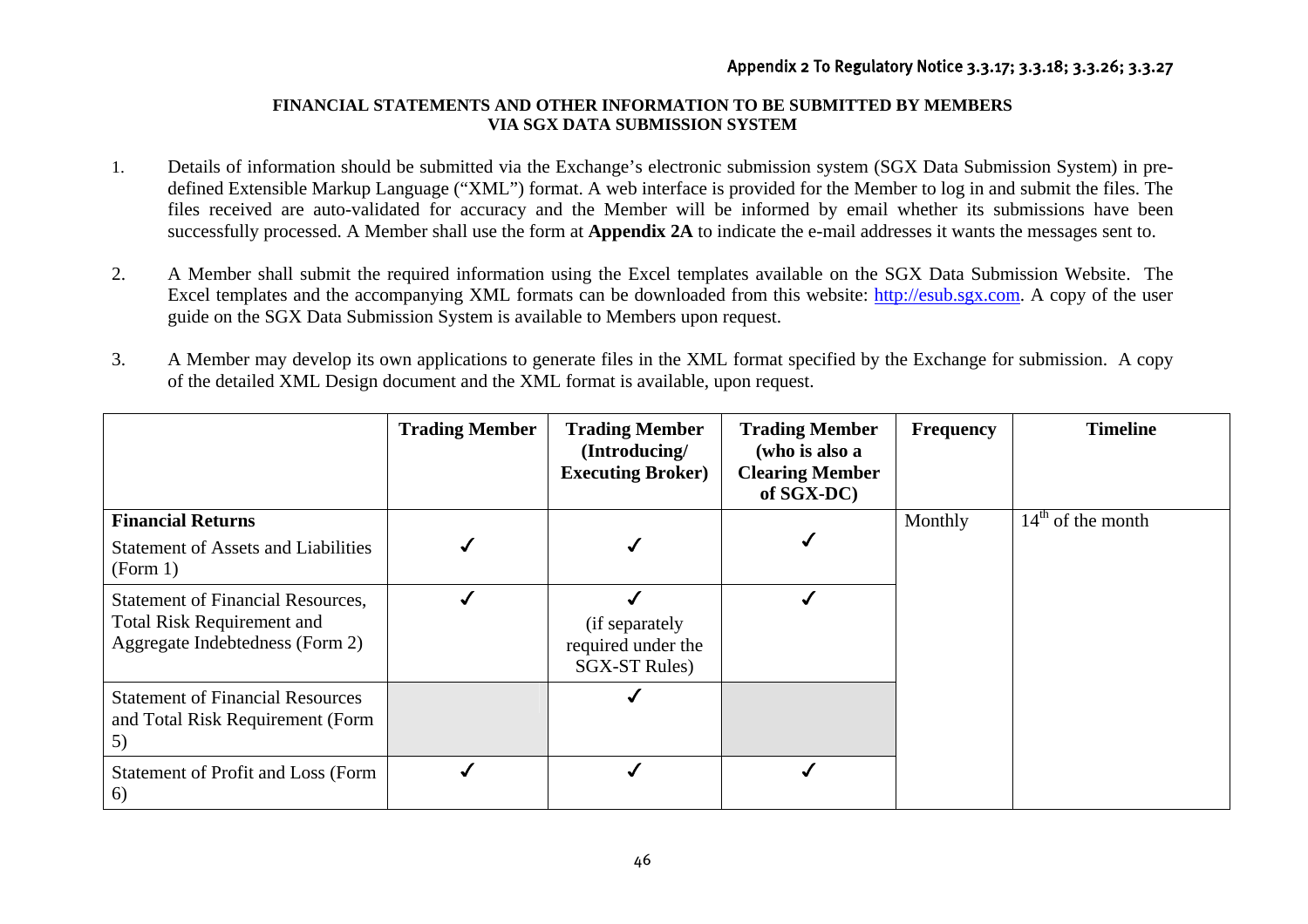## **FINANCIAL STATEMENTS AND OTHER INFORMATION TO BE SUBMITTED BY MEMBERS VIA SGX DATA SUBMISSION SYSTEM**

- 1. Details of information should be submitted via the Exchange's electronic submission system (SGX Data Submission System) in predefined Extensible Markup Language ("XML") format. A web interface is provided for the Member to log in and submit the files. The files received are auto-validated for accuracy and the Member will be informed by email whether its submissions have been successfully processed. A Member shall use the form at **Appendix 2A** to indicate the e-mail addresses it wants the messages sent to.
- 2. A Member shall submit the required information using the Excel templates available on the SGX Data Submission Website. The Excel templates and the accompanying XML formats can be downloaded from this website: http://esub.sgx.com. A copy of the user guide on the SGX Data Submission System is available to Members upon request.
- 3. A Member may develop its own applications to generate files in the XML format specified by the Exchange for submission. A copy of the detailed XML Design document and the XML format is available, upon request.

|                                                                                                                  | <b>Trading Member</b> | <b>Trading Member</b><br>(Introducing/<br><b>Executing Broker)</b> | <b>Trading Member</b><br>(who is also a<br><b>Clearing Member</b><br>of SGX-DC) | <b>Frequency</b> | <b>Timeline</b>     |
|------------------------------------------------------------------------------------------------------------------|-----------------------|--------------------------------------------------------------------|---------------------------------------------------------------------------------|------------------|---------------------|
| <b>Financial Returns</b><br><b>Statement of Assets and Liabilities</b><br>(Form 1)                               |                       |                                                                    |                                                                                 | Monthly          | $14th$ of the month |
| <b>Statement of Financial Resources,</b><br><b>Total Risk Requirement and</b><br>Aggregate Indebtedness (Form 2) |                       | (if separately<br>required under the<br><b>SGX-ST Rules</b> )      |                                                                                 |                  |                     |
| <b>Statement of Financial Resources</b><br>and Total Risk Requirement (Form<br>5)                                |                       |                                                                    |                                                                                 |                  |                     |
| Statement of Profit and Loss (Form<br>6)                                                                         |                       |                                                                    |                                                                                 |                  |                     |